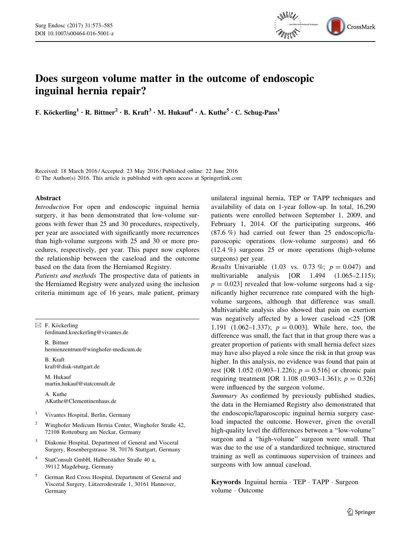

# Does surgeon volume matter in the outcome of endoscopic inguinal hernia repair?

F. Köckerling<sup>1</sup> • R. Bittner<sup>2</sup> • B. Kraft<sup>3</sup> • M. Hukauf<sup>4</sup> • A. Kuthe<sup>5</sup> • C. Schug-Pass<sup>1</sup>

Received: 18 March 2016 / Accepted: 23 May 2016 / Published online: 22 June 2016 © The Author(s) 2016. This article is published with open access at Springerlink.com

## Abstract

Introduction For open and endoscopic inguinal hernia surgery, it has been demonstrated that low-volume surgeons with fewer than 25 and 30 procedures, respectively, per year are associated with significantly more recurrences than high-volume surgeons with 25 and 30 or more procedures, respectively, per year. This paper now explores the relationship between the caseload and the outcome based on the data from the Herniamed Registry.

Patients and methods The prospective data of patients in the Herniamed Registry were analyzed using the inclusion criteria minimum age of 16 years, male patient, primary

|       | $\boxtimes$ F. Köckerling<br>ferdinand.koeckerling@vivantes.de                                                          |
|-------|-------------------------------------------------------------------------------------------------------------------------|
|       | R. Bittner<br>hernienzentrum@winghofer-medicum.de                                                                       |
|       | B. Kraft<br>kraft@diak-stuttgart.de                                                                                     |
|       | M. Hukauf<br>martin.hukauf@statconsult.de                                                                               |
|       | A. Kuthe<br>AKuthe@Clementinenhaus.de                                                                                   |
| $\,1$ | Vivantes Hospital, Berlin, Germany                                                                                      |
| 2     | Winghofer Medicum Hernia Center, Winghofer Straße 42,<br>72108 Rottenburg am Neckar, Germany                            |
| 3     | Diakonie Hospital, Department of General and Visceral<br>Surgery, Rosenbergstrasse 38, 70176 Stuttgart, Germany         |
| 4     | StatConsult GmbH, Halberstädter Straße 40 a,<br>39112 Magdeburg, Germany                                                |
| 5     | German Red Cross Hospital, Department of General and<br>Visceral Surgery, Lützerodestraße 1, 30161 Hannover,<br>Germany |

unilateral inguinal hernia, TEP or TAPP techniques and availability of data on 1-year follow-up. In total, 16,290 patients were enrolled between September 1, 2009, and February 1, 2014. Of the participating surgeons, 466 (87.6 %) had carried out fewer than 25 endoscopic/laparoscopic operations (low-volume surgeons) and 66 (12.4 %) surgeons 25 or more operations (high-volume surgeons) per year.

*Results* Univariable (1.03 vs. 0.73 %;  $p = 0.047$ ) and multivariable analysis [OR 1.494 (1.065–2.115);  $p = 0.023$  revealed that low-volume surgeons had a significantly higher recurrence rate compared with the highvolume surgeons, although that difference was small. Multivariable analysis also showed that pain on exertion was negatively affected by a lower caseload  $\langle 25 | OR$ 1.191 (1.062–1.337);  $p = 0.003$ . While here, too, the difference was small, the fact that in that group there was a greater proportion of patients with small hernia defect sizes may have also played a role since the risk in that group was higher. In this analysis, no evidence was found that pain at rest [OR 1.052 (0.903–1.226);  $p = 0.516$ ] or chronic pain requiring treatment [OR 1.108 (0.903–1.361);  $p = 0.326$ ] were influenced by the surgeon volume.

Summary As confirmed by previously published studies, the data in the Herniamed Registry also demonstrated that the endoscopic/laparoscopic inguinal hernia surgery caseload impacted the outcome. However, given the overall high-quality level the differences between a ''low-volume'' surgeon and a ''high-volume'' surgeon were small. That was due to the use of a standardized technique, structured training as well as continuous supervision of trainees and surgeons with low annual caseload.

Keywords Inguinal hernia · TEP · TAPP · Surgeon volume - Outcome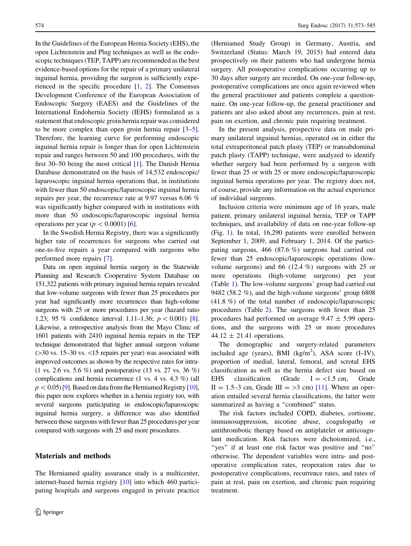In the Guidelines of the European Hernia Society (EHS), the open Lichtenstein and Plug techniques as well as the endoscopic techniques (TEP, TAPP) are recommended as the best evidence-based options for the repair of a primary unilateral inguinal hernia, providing the surgeon is sufficiently experienced in the specific procedure [\[1](#page-11-0), [2\]](#page-11-0). The Consensus Development Conference of the European Association of Endoscopic Surgery (EAES) and the Guidelines of the International Endohernia Society (IEHS) formulated as a statement that endoscopic groin hernia repair was considered to be more complex than open groin hernia repair [\[3–5](#page-11-0)]. Therefore, the learning curve for performing endoscopic inguinal hernia repair is longer than for open Lichtenstein repair and ranges between 50 and 100 procedures, with the first 30–50 being the most critical [\[1](#page-11-0)]. The Danish Hernia Database demonstrated on the basis of 14,532 endoscopic/ laparoscopic inguinal hernia operations that, in institutions with fewer than 50 endoscopic/laparoscopic inguinal hernia repairs per year, the recurrence rate at 9.97 versus 6.06 % was significantly higher compared with in institutions with more than 50 endoscopic/laparoscopic inguinal hernia operations per year ( $p < 0.0001$ ) [\[6](#page-11-0)].

In the Swedish Hernia Registry, there was a significantly higher rate of recurrences for surgeons who carried out one-to-five repairs a year compared with surgeons who performed more repairs [[7\]](#page-11-0).

Data on open inguinal hernia surgery in the Statewide Planning and Research Cooperative System Database on 151,322 patients with primary inguinal hernia repairs revealed that low-volume surgeons with fewer than 25 procedures per year had significantly more recurrences than high-volume surgeons with 25 or more procedures per year (hazard ratio 1.23; 95 % confidence interval 1.11–1.36;  $p < 0.001$  [[8\]](#page-11-0). Likewise, a retrospective analysis from the Mayo Clinic of 1601 patients with 2410 inguinal hernia repairs in the TEP technique demonstrated that higher annual surgeon volume  $(>=30$  vs. 15–30 vs.  $<15$  repairs per year) was associated with improved outcomes as shown by the respective rates for intra- (1 vs. 2.6 vs. 5.6 %) and postoperative (13 vs. 27 vs. 36 %) complications and hernia recurrence (1 vs. 4 vs. 4.3 %) (all  $p<0.05$  [\[9](#page-11-0)]. Based on data from the Herniamed Registry [\[10\]](#page-11-0), this paper now explores whether in a hernia registry too, with several surgeons participating in endoscopic/laparoscopic inguinal hernia surgery, a difference was also identified between those surgeons with fewer than 25 procedures per year compared with surgeons with 25 and more procedures.

# Materials and methods

The Herniamed quality assurance study is a multicenter, internet-based hernia registry [[10](#page-11-0)] into which 460 participating hospitals and surgeons engaged in private practice (Herniamed Study Group) in Germany, Austria, and Switzerland (Status: March 19, 2015) had entered data prospectively on their patients who had undergone hernia surgery. All postoperative complications occurring up to 30 days after surgery are recorded. On one-year follow-up, postoperative complications are once again reviewed when the general practitioner and patients complete a questionnaire. On one-year follow-up, the general practitioner and patients are also asked about any recurrences, pain at rest, pain on exertion, and chronic pain requiring treatment.

In the present analysis, prospective data on male primary unilateral inguinal hernias, operated on in either the total extraperitoneal patch plasty (TEP) or transabdominal patch plasty (TAPP) technique, were analyzed to identify whether surgery had been performed by a surgeon with fewer than 25 or with 25 or more endoscopic/laparoscopic inguinal hernia operations per year. The registry does not, of course, provide any information on the actual experience of individual surgeons.

Inclusion criteria were minimum age of 16 years, male patient, primary unilateral inguinal hernia, TEP or TAPP techniques, and availability of data on one-year follow-up (Fig. [1\)](#page-2-0). In total, 16,290 patients were enrolled between September 1, 2009, and February 1, 2014. Of the participating surgeons, 466 (87.6 %) surgeons had carried out fewer than 25 endoscopic/laparoscopic operations (lowvolume surgeons) and 66 (12.4 %) surgeons with 25 or more operations (high-volume surgeons) per year (Table [1\)](#page-3-0). The low-volume surgeons' group had carried out 9482 (58.2 %), and the high-volume surgeons' group 6808 (41.8 %) of the total number of endoscopic/laparoscopic procedures (Table [2\)](#page-3-0). The surgeons with fewer than 25 procedures had performed on average  $9.47 \pm 5.99$  operations, and the surgeons with 25 or more procedures  $44.12 \pm 21.41$  operations.

The demographic and surgery-related parameters included age (years), BMI (kg/m<sup>2</sup>), ASA score (I-IV), proportion of medial, lateral, femoral, and scrotal EHS classification as well as the hernia defect size based on EHS classification (Grade  $I = \langle 1.5 \text{ cm.} \rangle$  Grade II = 1.5–3 cm, Grade III = >3 cm) [[11\]](#page-11-0). Where an operation entailed several hernia classifications, the latter were summarized as having a "combined" status.

The risk factors included COPD, diabetes, cortisone, immunosuppression, nicotine abuse, coagulopathy or antithrombotic therapy based on antiplatelet or anticoagulant medication. Risk factors were dichotomized, i.e., "yes" if at least one risk factor was positive and "no" otherwise. The dependent variables were intra- and postoperative complication rates, reoperation rates due to postoperative complications, recurrence rates, and rates of pain at rest, pain on exertion, and chronic pain requiring treatment.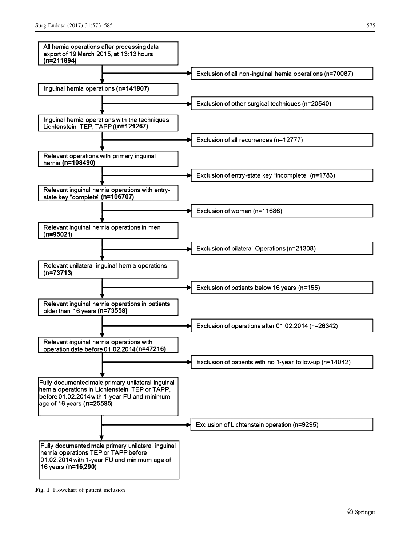<span id="page-2-0"></span>

Fig. 1 Flowchart of patient inclusion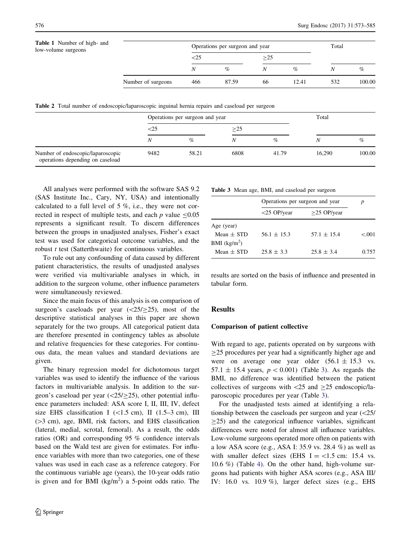<span id="page-3-0"></span>

| <b>Table 1</b> Number of high- and<br>low-volume surgeons |                    |        | Operations per surgeon and year | Total |       |     |        |
|-----------------------------------------------------------|--------------------|--------|---------------------------------|-------|-------|-----|--------|
|                                                           |                    | $<$ 25 |                                 | >25   |       |     |        |
|                                                           |                    | Ν      | $\%$                            |       | $\%$  |     | $\%$   |
|                                                           | Number of surgeons | 466    | 87.59                           | 66    | 12.41 | 532 | 100.00 |

Table 2 Total number of endoscopic/laparoscopic inguinal hernia repairs and caseload per surgeon

|                                                                       | Operations per surgeon and year |       |      |       | Total  |        |  |
|-----------------------------------------------------------------------|---------------------------------|-------|------|-------|--------|--------|--|
|                                                                       | $\leq$ 25                       |       | >25  |       |        |        |  |
|                                                                       | N                               | $\%$  | Ν    | $\%$  | N      | %      |  |
| Number of endoscopic/laparoscopic<br>operations depending on caseload | 9482                            | 58.21 | 6808 | 41.79 | 16.290 | 100.00 |  |

All analyses were performed with the software SAS 9.2 (SAS Institute Inc., Cary, NY, USA) and intentionally calculated to a full level of 5 %, i.e., they were not corrected in respect of multiple tests, and each  $p$  value  $\leq 0.05$ represents a significant result. To discern differences between the groups in unadjusted analyses, Fisher's exact test was used for categorical outcome variables, and the robust *t* test (Satterthwaite) for continuous variables.

To rule out any confounding of data caused by different patient characteristics, the results of unadjusted analyses were verified via multivariable analyses in which, in addition to the surgeon volume, other influence parameters were simultaneously reviewed.

Since the main focus of this analysis is on comparison of surgeon's caseloads per year  $(\langle 25/25 \rangle, \text{ most of the})$ descriptive statistical analyses in this paper are shown separately for the two groups. All categorical patient data are therefore presented in contingency tables as absolute and relative frequencies for these categories. For continuous data, the mean values and standard deviations are given.

The binary regression model for dichotomous target variables was used to identify the influence of the various factors in multivariable analysis. In addition to the surgeon's caseload per year  $(\langle 25/25 \rangle)$ , other potential influence parameters included: ASA score I, II, III, IV, defect size EHS classification I ( $\lt 1.5$  cm), II (1.5–3 cm), III ( $>3$  cm), age, BMI, risk factors, and EHS classification (lateral, medial, scrotal, femoral). As a result, the odds ratios (OR) and corresponding 95 % confidence intervals based on the Wald test are given for estimates. For influence variables with more than two categories, one of these values was used in each case as a reference category. For the continuous variable age (years), the 10-year odds ratio is given and for BMI  $(kg/m^2)$  a 5-point odds ratio. The

|  |  |  |  |  | Table 3 Mean age, BMI, and caseload per surgeon |  |  |
|--|--|--|--|--|-------------------------------------------------|--|--|
|--|--|--|--|--|-------------------------------------------------|--|--|

|                | Operations per surgeon and year | D               |       |
|----------------|---------------------------------|-----------------|-------|
|                | $<$ 25 OP/year                  | $>25$ OP/year   |       |
| Age (year)     |                                 |                 |       |
| Mean $\pm$ STD | $56.1 \pm 15.3$                 | $57.1 \pm 15.4$ | < 001 |
| BMI $(kg/m2)$  |                                 |                 |       |
| Mean $\pm$ STD | $25.8 \pm 3.3$                  | $25.8 \pm 3.4$  | 0.757 |

results are sorted on the basis of influence and presented in tabular form.

# **Results**

#### Comparison of patient collective

With regard to age, patients operated on by surgeons with  $\geq$ 25 procedures per year had a significantly higher age and were on average one year older  $(56.1 \pm 15.3 \text{ vs.})$ 57.1  $\pm$  15.4 years,  $p < 0.001$ ) (Table 3). As regards the BMI, no difference was identified between the patient collectives of surgeons with  $\langle 25 \rangle$  and  $\geq 25$  endoscopic/laparoscopic procedures per year (Table 3).

For the unadjusted tests aimed at identifying a relationship between the caseloads per surgeon and year  $\langle$  <25/  $\geq$ 25) and the categorical influence variables, significant differences were noted for almost all influence variables. Low-volume surgeons operated more often on patients with a low ASA score (e.g., ASA I: 35.9 vs. 28.4 %) as well as with smaller defect sizes (EHS  $I = <1.5$  cm: 15.4 vs. 10.6 %) (Table [4\)](#page-4-0). On the other hand, high-volume surgeons had patients with higher ASA scores (e.g., ASA III/ IV: 16.0 vs. 10.9 %), larger defect sizes (e.g., EHS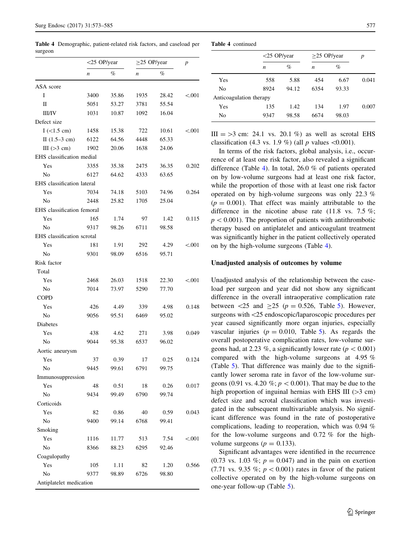<span id="page-4-0"></span>Table 4 Demographic, patient-related risk factors, and caseload per surgeon

|                            |                  | $<$ 25 OP/year |                  | $\geq$ 25 OP/year |          |  |
|----------------------------|------------------|----------------|------------------|-------------------|----------|--|
|                            | $\boldsymbol{n}$ | %              | $\boldsymbol{n}$ | %                 |          |  |
| ASA score                  |                  |                |                  |                   |          |  |
| I                          | 3400             | 35.86          | 1935             | 28.42             | ${<}001$ |  |
| П                          | 5051             | 53.27          | 3781             | 55.54             |          |  |
| <b>III/IV</b>              | 1031             | 10.87          | 1092             | 16.04             |          |  |
| Defect size                |                  |                |                  |                   |          |  |
| $I$ (<1.5 cm)              | 1458             | 15.38          | 722              | 10.61             | < 0.001  |  |
| II $(1.5-3 cm)$            | 6122             | 64.56          | 4448             | 65.33             |          |  |
| III $(>3$ cm)              | 1902             | 20.06          | 1638             | 24.06             |          |  |
| EHS classification medial  |                  |                |                  |                   |          |  |
| Yes                        | 3355             | 35.38          | 2475             | 36.35             | 0.202    |  |
| No                         | 6127             | 64.62          | 4333             | 63.65             |          |  |
| EHS classification lateral |                  |                |                  |                   |          |  |
| Yes                        | 7034             | 74.18          | 5103             | 74.96             | 0.264    |  |
| No                         | 2448             | 25.82          | 1705             | 25.04             |          |  |
| EHS classification femoral |                  |                |                  |                   |          |  |
| Yes                        | 165              | 1.74           | 97               | 1.42              | 0.115    |  |
| N <sub>0</sub>             | 9317             | 98.26          | 6711             | 98.58             |          |  |
| EHS classification scrotal |                  |                |                  |                   |          |  |
| Yes                        | 181              | 1.91           | 292              | 4.29              | < 0.001  |  |
| No                         | 9301             | 98.09          | 6516             | 95.71             |          |  |
| Risk factor                |                  |                |                  |                   |          |  |
| Total                      |                  |                |                  |                   |          |  |
| Yes                        | 2468             | 26.03          | 1518             | 22.30             | < 0.001  |  |
| No                         | 7014             | 73.97          | 5290             | 77.70             |          |  |
| COPD                       |                  |                |                  |                   |          |  |
| Yes                        | 426              | 4.49           | 339              | 4.98              | 0.148    |  |
| No                         | 9056             | 95.51          | 6469             | 95.02             |          |  |
| <b>Diabetes</b>            |                  |                |                  |                   |          |  |
| Yes                        | 438              | 4.62           | 271              | 3.98              | 0.049    |  |
| N <sub>0</sub>             | 9044             | 95.38          | 6537             | 96.02             |          |  |
| Aortic aneurysm            |                  |                |                  |                   |          |  |
| Yes                        | 37               | 0.39           | 17               | 0.25              | 0.124    |  |
| No                         | 9445             | 99.61          | 6791             | 99.75             |          |  |
| Immunosuppression          |                  |                |                  |                   |          |  |
| Yes                        | 48               | 0.51           | 18               | 0.26              | 0.017    |  |
| No                         | 9434             | 99.49          | 6790             | 99.74             |          |  |
| Corticoids                 |                  |                |                  |                   |          |  |
| Yes                        | 82               | 0.86           | 40               | 0.59              | 0.043    |  |
| No                         | 9400             | 99.14          | 6768             | 99.41             |          |  |
| Smoking                    |                  |                |                  |                   |          |  |
| Yes                        | 1116             | 11.77          | 513              | 7.54              | < 0.001  |  |
| No                         | 8366             | 88.23          | 6295             | 92.46             |          |  |
| Coagulopathy               |                  |                |                  |                   |          |  |
| Yes                        | 105              | 1.11           | 82               | 1.20              | 0.566    |  |
| No                         | 9377             | 98.89          | 6726             | 98.80             |          |  |
| Antiplatelet medication    |                  |                |                  |                   |          |  |

Table 4 continued

|                         | $<$ 25 OP/year   |       | $>25$ OP/year | p     |       |
|-------------------------|------------------|-------|---------------|-------|-------|
|                         | $\boldsymbol{n}$ | $\%$  | n             | %     |       |
| Yes                     | 558              | 5.88  | 454           | 6.67  | 0.041 |
| No                      | 8924             | 94.12 | 6354          | 93.33 |       |
| Anticoagulation therapy |                  |       |               |       |       |
| Yes                     | 135              | 1.42  | 134           | 1.97  | 0.007 |
| No                      | 9347             | 98.58 | 6674          | 98.03 |       |
|                         |                  |       |               |       |       |

III  $=$  >3 cm: 24.1 vs. 20.1 %) as well as scrotal EHS classification (4.3 vs. 1.9 %) (all  $p$  values <0.001).

In terms of the risk factors, global analysis, i.e., occurrence of at least one risk factor, also revealed a significant difference (Table 4). In total, 26.0 % of patients operated on by low-volume surgeons had at least one risk factor, while the proportion of those with at least one risk factor operated on by high-volume surgeons was only 22.3 %  $(p = 0.001)$ . That effect was mainly attributable to the difference in the nicotine abuse rate  $(11.8 \text{ vs. } 7.5 \%)$ ;  $p<0.001$ ). The proportion of patients with antithrombotic therapy based on antiplatelet and anticoagulant treatment was significantly higher in the patient collectively operated on by the high-volume surgeons (Table 4).

#### Unadjusted analysis of outcomes by volume

Unadjusted analysis of the relationship between the caseload per surgeon and year did not show any significant difference in the overall intraoperative complication rate between  $\langle 25 \rangle$  and  $\geq 25$  ( $p = 0.526$ , Table [5\)](#page-5-0). However, surgeons with  $\langle 25 \rangle$  endoscopic/laparoscopic procedures per year caused significantly more organ injuries, especially vascular injuries ( $p = 0.010$ , Table [5](#page-5-0)). As regards the overall postoperative complication rates, low-volume surgeons had, at 2.23 %, a significantly lower rate ( $p<0.001$ ) compared with the high-volume surgeons at 4.95 % (Table [5\)](#page-5-0). That difference was mainly due to the significantly lower seroma rate in favor of the low-volume surgeons (0.91 vs. 4.20 %;  $p < 0.001$ ). That may be due to the high proportion of inguinal hernias with EHS III ( $>3$  cm) defect size and scrotal classification which was investigated in the subsequent multivariable analysis. No significant difference was found in the rate of postoperative complications, leading to reoperation, which was 0.94 % for the low-volume surgeons and 0.72 % for the highvolume surgeons ( $p = 0.133$ ).

Significant advantages were identified in the recurrence (0.73 vs. 1.03 %;  $p = 0.047$ ) and in the pain on exertion (7.71 vs. 9.35 %;  $p < 0.001$ ) rates in favor of the patient collective operated on by the high-volume surgeons on one-year follow-up (Table [5\)](#page-5-0).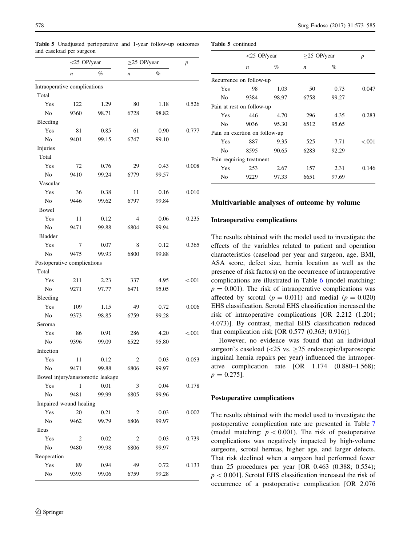|                              | $<$ 25 OP/year         |                                  |                  | $\geq$ 25 OP/year |                  |  |
|------------------------------|------------------------|----------------------------------|------------------|-------------------|------------------|--|
|                              | $\boldsymbol{n}$       | $\%$                             | $\boldsymbol{n}$ | %                 | $\boldsymbol{p}$ |  |
| Intraoperative complications |                        |                                  |                  |                   |                  |  |
| Total                        |                        |                                  |                  |                   |                  |  |
| Yes                          | 122                    | 1.29                             | 80               | 1.18              | 0.526            |  |
| No                           | 9360                   | 98.71                            | 6728             | 98.82             |                  |  |
| Bleeding                     |                        |                                  |                  |                   |                  |  |
| Yes                          | 81                     | 0.85                             | 61               | 0.90              | 0.777            |  |
| No                           | 9401                   | 99.15                            | 6747             | 99.10             |                  |  |
| Injuries                     |                        |                                  |                  |                   |                  |  |
| Total                        |                        |                                  |                  |                   |                  |  |
| Yes                          | 72                     | 0.76                             | 29               | 0.43              | 0.008            |  |
| No                           | 9410                   | 99.24                            | 6779             | 99.57             |                  |  |
| Vascular                     |                        |                                  |                  |                   |                  |  |
| Yes                          | 36                     | 0.38                             | 11               | 0.16              | 0.010            |  |
| No                           | 9446                   | 99.62                            | 6797             | 99.84             |                  |  |
| Bowel                        |                        |                                  |                  |                   |                  |  |
| Yes                          | 11                     | 0.12                             | 4                | 0.06              | 0.235            |  |
| No                           | 9471                   | 99.88                            | 6804             | 99.94             |                  |  |
| <b>Bladder</b>               |                        |                                  |                  |                   |                  |  |
| Yes                          | 7                      | 0.07                             | 8                | 0.12              | 0.365            |  |
| No                           | 9475                   | 99.93                            | 6800             | 99.88             |                  |  |
| Postoperative complications  |                        |                                  |                  |                   |                  |  |
| Total                        |                        |                                  |                  |                   |                  |  |
| Yes                          | 211                    | 2.23                             | 337              | 4.95              | < 0.001          |  |
| No                           | 9271                   | 97.77                            | 6471             | 95.05             |                  |  |
| Bleeding                     |                        |                                  |                  |                   |                  |  |
| Yes                          | 109                    | 1.15                             | 49               | 0.72              | 0.006            |  |
| No                           | 9373                   | 98.85                            | 6759             | 99.28             |                  |  |
| Seroma                       |                        |                                  |                  |                   |                  |  |
| Yes                          | 86                     | 0.91                             | 286              | 4.20              | < 0.001          |  |
| No                           | 9396                   | 99.09                            | 6522             | 95.80             |                  |  |
| Infection                    |                        |                                  |                  |                   |                  |  |
| Yes                          | 11                     | 0.12                             | 2                | 0.03              | 0.053            |  |
| No                           | 9471                   | 99.88                            | 6806             | 99.97             |                  |  |
|                              |                        | Bowel injury/anastomotic leakage |                  |                   |                  |  |
| Yes                          | 1                      | 0.01                             | 3                | 0.04              | 0.178            |  |
| No                           | 9481                   | 99.99                            | 6805             | 99.96             |                  |  |
|                              | Impaired wound healing |                                  |                  |                   |                  |  |
| Yes                          | 20                     | 0.21                             | 2                | 0.03              | 0.002            |  |
| No                           | 9462                   | 99.79                            | 6806             | 99.97             |                  |  |
| <b>Ileus</b>                 |                        |                                  |                  |                   |                  |  |
| Yes                          | 2                      | 0.02                             | 2                | 0.03              | 0.739            |  |
| No                           | 9480                   | 99.98                            | 6806             | 99.97             |                  |  |
| Reoperation                  |                        |                                  |                  |                   |                  |  |
| Yes                          | 89                     | 0.94                             | 49               | 0.72              | 0.133            |  |
| No                           | 9393                   | 99.06                            | 6759             | 99.28             |                  |  |

<span id="page-5-0"></span>Table 5 Unadjusted perioperative and 1-year follow-up outcomes and caseload per surgeon

|  | <b>Table 5</b> continued |
|--|--------------------------|
|  |                          |

|                | $<$ 25 OP/year                |       | $\geq$ 25 OP/year |       | p       |
|----------------|-------------------------------|-------|-------------------|-------|---------|
|                | $\boldsymbol{n}$              | $\%$  | $\boldsymbol{n}$  | $\%$  |         |
|                | Recurrence on follow-up       |       |                   |       |         |
| Yes            | 98                            | 1.03  | 50                | 0.73  | 0.047   |
| N <sub>0</sub> | 9384                          | 98.97 | 6758              | 99.27 |         |
|                | Pain at rest on follow-up     |       |                   |       |         |
| Yes            | 446                           | 4.70  | 296               | 4.35  | 0.283   |
| N <sub>0</sub> | 9036                          | 95.30 | 6512              | 95.65 |         |
|                | Pain on exertion on follow-up |       |                   |       |         |
| Yes            | 887                           | 9.35  | 525               | 7.71  | < 0.001 |
| N <sub>0</sub> | 8595                          | 90.65 | 6283              | 92.29 |         |
|                | Pain requiring treatment      |       |                   |       |         |
| Yes            | 253                           | 2.67  | 157               | 2.31  | 0.146   |
| N <sub>0</sub> | 9229                          | 97.33 | 6651              | 97.69 |         |

## Multivariable analyses of outcome by volume

## Intraoperative complications

The results obtained with the model used to investigate the effects of the variables related to patient and operation characteristics (caseload per year and surgeon, age, BMI, ASA score, defect size, hernia location as well as the presence of risk factors) on the occurrence of intraoperative complications are illustrated in Table [6](#page-6-0) (model matching:  $p = 0.001$ . The risk of intraoperative complications was affected by scrotal ( $p = 0.011$ ) and medial ( $p = 0.020$ ) EHS classification. Scrotal EHS classification increased the risk of intraoperative complications [OR 2.212 (1.201; 4.073)]. By contrast, medial EHS classification reduced that complication risk [OR 0.577 (0.363; 0.916)].

However, no evidence was found that an individual surgeon's caseload  $(\leq 25 \text{ vs. } > 25 \text{ endoscopic/laparoscopic})$ inguinal hernia repairs per year) influenced the intraoperative complication rate [OR 1.174 (0.880–1.568);  $p = 0.275$ ].

## Postoperative complications

The results obtained with the model used to investigate the postoperative complication rate are presented in Table [7](#page-6-0) (model matching:  $p < 0.001$ ). The risk of postoperative complications was negatively impacted by high-volume surgeons, scrotal hernias, higher age, and larger defects. That risk declined when a surgeon had performed fewer than 25 procedures per year [OR 0.463 (0.388; 0.554);  $p<0.001$ . Scrotal EHS classification increased the risk of occurrence of a postoperative complication [OR 2.076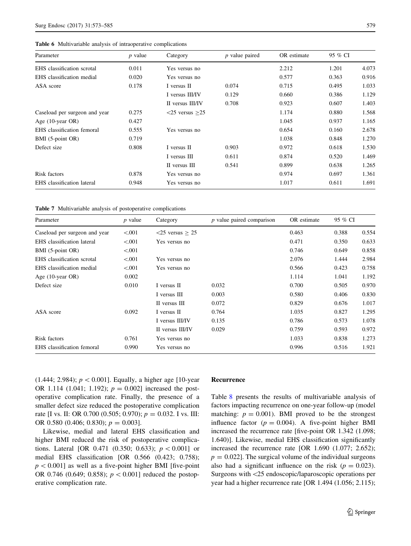<span id="page-6-0"></span>

|  |  |  | <b>Table 6</b> Multivariable analysis of intraoperative complications |  |
|--|--|--|-----------------------------------------------------------------------|--|
|--|--|--|-----------------------------------------------------------------------|--|

| Parameter                     | $p$ value | Category             | $p$ value paired | OR estimate | 95 % CI |       |
|-------------------------------|-----------|----------------------|------------------|-------------|---------|-------|
| EHS classification scrotal    | 0.011     | Yes versus no        |                  | 2.212       | 1.201   | 4.073 |
| EHS classification medial     | 0.020     | Yes versus no        |                  | 0.577       | 0.363   | 0.916 |
| ASA score                     | 0.178     | I versus II          | 0.074            | 0.715       | 0.495   | 1.033 |
|                               |           | I versus III/IV      | 0.129            | 0.660       | 0.386   | 1.129 |
|                               |           | II versus III/IV     | 0.708            | 0.923       | 0.607   | 1.403 |
| Caseload per surgeon and year | 0.275     | $<$ 25 versus $>$ 25 |                  | 1.174       | 0.880   | 1.568 |
| Age $(10$ -year OR)           | 0.427     |                      |                  | 1.045       | 0.937   | 1.165 |
| EHS classification femoral    | 0.555     | Yes versus no        |                  | 0.654       | 0.160   | 2.678 |
| BMI (5-point OR)              | 0.719     |                      |                  | 1.038       | 0.848   | 1.270 |
| Defect size                   | 0.808     | I versus II          | 0.903            | 0.972       | 0.618   | 1.530 |
|                               |           | I versus III         | 0.611            | 0.874       | 0.520   | 1.469 |
|                               |           | II versus III        | 0.541            | 0.899       | 0.638   | 1.265 |
| Risk factors                  | 0.878     | Yes versus no        |                  | 0.974       | 0.697   | 1.361 |
| EHS classification lateral    | 0.948     | Yes versus no        |                  | 1.017       | 0.611   | 1.691 |

Table 7 Multivariable analysis of postoperative complications

| Parameter                     | $p$ value | Category                             | $p$ value paired comparison | OR estimate | 95 % CI |       |
|-------------------------------|-----------|--------------------------------------|-----------------------------|-------------|---------|-------|
| Caseload per surgeon and year | < 0.001   | $\langle 25 \text{ versus } \geq 25$ |                             | 0.463       | 0.388   | 0.554 |
| EHS classification lateral    | < 0.001   | Yes versus no                        |                             | 0.471       | 0.350   | 0.633 |
| BMI (5-point OR)              | < 0.001   |                                      |                             | 0.746       | 0.649   | 0.858 |
| EHS classification scrotal    | < 0.001   | Yes versus no                        |                             | 2.076       | 1.444   | 2.984 |
| EHS classification medial     | < 0.001   | Yes versus no                        |                             | 0.566       | 0.423   | 0.758 |
| Age $(10$ -year OR)           | 0.002     |                                      |                             | 1.114       | 1.041   | 1.192 |
| Defect size                   | 0.010     | I versus II                          | 0.032                       | 0.700       | 0.505   | 0.970 |
|                               |           | I versus III                         | 0.003                       | 0.580       | 0.406   | 0.830 |
|                               |           | II versus III                        | 0.072                       | 0.829       | 0.676   | 1.017 |
| ASA score                     | 0.092     | I versus II                          | 0.764                       | 1.035       | 0.827   | 1.295 |
|                               |           | I versus III/IV                      | 0.135                       | 0.786       | 0.573   | 1.078 |
|                               |           | II versus III/IV                     | 0.029                       | 0.759       | 0.593   | 0.972 |
| Risk factors                  | 0.761     | Yes versus no                        |                             | 1.033       | 0.838   | 1.273 |
| EHS classification femoral    | 0.990     | Yes versus no                        |                             | 0.996       | 0.516   | 1.921 |

(1.444; 2.984);  $p < 0.001$ . Equally, a higher age [10-year] OR 1.114 (1.041; 1.192);  $p = 0.002$ ] increased the postoperative complication rate. Finally, the presence of a smaller defect size reduced the postoperative complication rate [I vs. II: OR 0.700 (0.505; 0.970);  $p = 0.032$ . I vs. III: OR 0.580 (0.406; 0.830);  $p = 0.003$ .

Likewise, medial and lateral EHS classification and higher BMI reduced the risk of postoperative complications. Lateral [OR 0.471 (0.350; 0.633);  $p < 0.001$ ] or medial EHS classification [OR 0.566 (0.423; 0.758);  $p<0.001$ ] as well as a five-point higher BMI [five-point OR 0.746 (0.649; 0.858);  $p < 0.001$ ] reduced the postoperative complication rate.

#### Recurrence

Table [8](#page-7-0) presents the results of multivariable analysis of factors impacting recurrence on one-year follow-up (model matching:  $p = 0.001$ ). BMI proved to be the strongest influence factor ( $p = 0.004$ ). A five-point higher BMI increased the recurrence rate [five-point OR 1.342 (1.098; 1.640)]. Likewise, medial EHS classification significantly increased the recurrence rate [OR 1.690 (1.077; 2.652);  $p = 0.022$ ]. The surgical volume of the individual surgeons also had a significant influence on the risk ( $p = 0.023$ ). Surgeons with\25 endoscopic/laparoscopic operations per year had a higher recurrence rate [OR 1.494 (1.056; 2.115);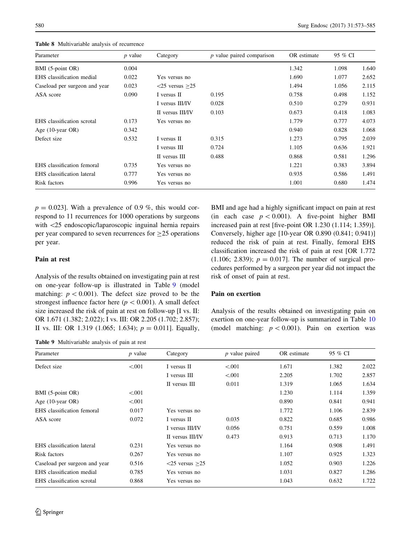<span id="page-7-0"></span>580 Surg Endosc (2017) 31:573–585

| Parameter                     | $p$ value | Category                   | $p$ value paired comparison | OR estimate | 95 % CI |       |
|-------------------------------|-----------|----------------------------|-----------------------------|-------------|---------|-------|
| BMI (5-point OR)              | 0.004     |                            |                             | 1.342       | 1.098   | 1.640 |
| EHS classification medial     | 0.022     | Yes versus no              |                             | 1.690       | 1.077   | 2.652 |
| Caseload per surgeon and year | 0.023     | $\leq$ 25 versus $\geq$ 25 |                             | 1.494       | 1.056   | 2.115 |
| ASA score                     | 0.090     | I versus II                | 0.195                       | 0.758       | 0.498   | 1.152 |
|                               |           | I versus III/IV            | 0.028                       | 0.510       | 0.279   | 0.931 |
|                               |           | II versus III/IV           | 0.103                       | 0.673       | 0.418   | 1.083 |
| EHS classification scrotal    | 0.173     | Yes versus no              |                             | 1.779       | 0.777   | 4.073 |
| Age (10-year OR)              | 0.342     |                            |                             | 0.940       | 0.828   | 1.068 |
| Defect size                   | 0.532     | I versus II                | 0.315                       | 1.273       | 0.795   | 2.039 |
|                               |           | I versus III               | 0.724                       | 1.105       | 0.636   | 1.921 |
|                               |           | II versus III              | 0.488                       | 0.868       | 0.581   | 1.296 |
| EHS classification femoral    | 0.735     | Yes versus no              |                             | 1.221       | 0.383   | 3.894 |
| EHS classification lateral    | 0.777     | Yes versus no              |                             | 0.935       | 0.586   | 1.491 |
| Risk factors                  | 0.996     | Yes versus no              |                             | 1.001       | 0.680   | 1.474 |

Table 8 Multivariable analysis of recurrence

 $p = 0.023$ . With a prevalence of 0.9 %, this would correspond to 11 recurrences for 1000 operations by surgeons with  $\langle 25 \rangle$  endoscopic/laparoscopic inguinal hernia repairs per year compared to seven recurrences for  $\geq$ 25 operations per year.

# Pain at rest

Analysis of the results obtained on investigating pain at rest on one-year follow-up is illustrated in Table 9 (model matching:  $p < 0.001$ ). The defect size proved to be the strongest influence factor here ( $p < 0.001$ ). A small defect size increased the risk of pain at rest on follow-up [I vs. II: OR 1.671 (1.382; 2.022); I vs. III: OR 2.205 (1.702; 2.857); II vs. III: OR 1.319 (1.065; 1.634);  $p = 0.011$ . Equally,

Table 9 Multivariable analysis of pain at rest

BMI and age had a highly significant impact on pain at rest (in each case  $p < 0.001$ ). A five-point higher BMI increased pain at rest [five-point OR 1.230 (1.114; 1.359)]. Conversely, higher age [10-year OR 0.890 (0.841; 0.941)] reduced the risk of pain at rest. Finally, femoral EHS classification increased the risk of pain at rest [OR 1.772 (1.106; 2.839);  $p = 0.017$ ]. The number of surgical procedures performed by a surgeon per year did not impact the risk of onset of pain at rest.

## Pain on exertion

Analysis of the results obtained on investigating pain on exertion on one-year follow-up is summarized in Table [10](#page-8-0) (model matching:  $p < 0.001$ ). Pain on exertion was

| Parameter                     | $p$ value | Category             | $p$ value paired | OR estimate | 95 % CI |       |
|-------------------------------|-----------|----------------------|------------------|-------------|---------|-------|
| Defect size                   | < 0.001   | I versus II          | < 0.001          | 1.671       | 1.382   | 2.022 |
|                               |           | I versus III         | < 0.001          | 2.205       | 1.702   | 2.857 |
|                               |           | II versus III        | 0.011            | 1.319       | 1.065   | 1.634 |
| BMI (5-point OR)              | ${<}001$  |                      |                  | 1.230       | 1.114   | 1.359 |
| Age $(10$ -year OR)           | < 0.001   |                      |                  | 0.890       | 0.841   | 0.941 |
| EHS classification femoral    | 0.017     | Yes versus no        |                  | 1.772       | 1.106   | 2.839 |
| ASA score                     | 0.072     | I versus II          | 0.035            | 0.822       | 0.685   | 0.986 |
|                               |           | I versus III/IV      | 0.056            | 0.751       | 0.559   | 1.008 |
|                               |           | II versus III/IV     | 0.473            | 0.913       | 0.713   | 1.170 |
| EHS classification lateral    | 0.231     | Yes versus no        |                  | 1.164       | 0.908   | 1.491 |
| Risk factors                  | 0.267     | Yes versus no        |                  | 1.107       | 0.925   | 1.323 |
| Caseload per surgeon and year | 0.516     | $<$ 25 versus $>$ 25 |                  | 1.052       | 0.903   | 1.226 |
| EHS classification medial     | 0.785     | Yes versus no        |                  | 1.031       | 0.827   | 1.286 |
| EHS classification scrotal    | 0.868     | Yes versus no        |                  | 1.043       | 0.632   | 1.722 |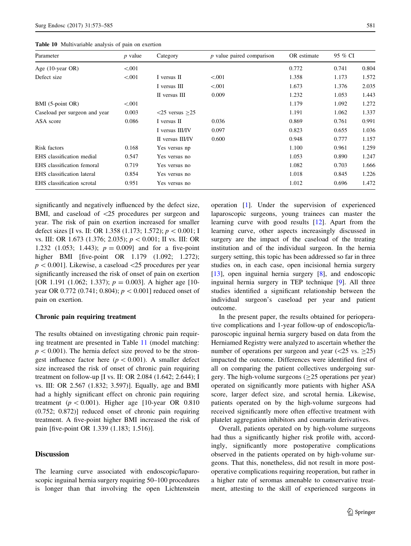<span id="page-8-0"></span>

| Parameter                     | $p$ value | Category             | $p$ value paired comparison | OR estimate | 95 % CI |       |
|-------------------------------|-----------|----------------------|-----------------------------|-------------|---------|-------|
| Age $(10$ -year OR)           | < 0.001   |                      |                             | 0.772       | 0.741   | 0.804 |
| Defect size                   | < 0.001   | I versus II          | ${<}001$                    | 1.358       | 1.173   | 1.572 |
|                               |           | I versus III         | < 0.001                     | 1.673       | 1.376   | 2.035 |
|                               |           | II versus III        | 0.009                       | 1.232       | 1.053   | 1.443 |
| BMI (5-point OR)              | < 0.001   |                      |                             | 1.179       | 1.092   | 1.272 |
| Caseload per surgeon and year | 0.003     | $<$ 25 versus $>$ 25 |                             | 1.191       | 1.062   | 1.337 |
| ASA score                     | 0.086     | I versus II          | 0.036                       | 0.869       | 0.761   | 0.991 |
|                               |           | I versus III/IV      | 0.097                       | 0.823       | 0.655   | 1.036 |
|                               |           | II versus III/IV     | 0.600                       | 0.948       | 0.777   | 1.157 |
| Risk factors                  | 0.168     | Yes versus np        |                             | 1.100       | 0.961   | 1.259 |
| EHS classification medial     | 0.547     | Yes versus no        |                             | 1.053       | 0.890   | 1.247 |
| EHS classification femoral    | 0.719     | Yes versus no        |                             | 1.082       | 0.703   | 1.666 |
| EHS classification lateral    | 0.854     | Yes versus no        |                             | 1.018       | 0.845   | 1.226 |
| EHS classification scrotal    | 0.951     | Yes versus no        |                             | 1.012       | 0.696   | 1.472 |

significantly and negatively influenced by the defect size, BMI, and caseload of  $\langle 25 \rangle$  procedures per surgeon and year. The risk of pain on exertion increased for smaller defect sizes [I vs. II: OR 1.358 (1.173; 1.572);  $p < 0.001$ ; I vs. III: OR 1.673 (1.376; 2.035);  $p < 0.001$ ; II vs. III: OR 1.232 (1.053; 1.443);  $p = 0.009$ ] and for a five-point higher BMI [five-point OR 1.179 (1.092; 1.272);  $p<0.001$ . Likewise, a caseload  $\langle 25 \rangle$  procedures per year significantly increased the risk of onset of pain on exertion [OR 1.191 (1.062; 1.337);  $p = 0.003$ ]. A higher age [10year OR 0.772 (0.741; 0.804);  $p < 0.001$ ] reduced onset of pain on exertion.

## Chronic pain requiring treatment

The results obtained on investigating chronic pain requiring treatment are presented in Table [11](#page-9-0) (model matching:  $p<0.001$ ). The hernia defect size proved to be the strongest influence factor here ( $p < 0.001$ ). A smaller defect size increased the risk of onset of chronic pain requiring treatment on follow-up [I vs. II: OR 2.084 (1.642; 2.644); I vs. III: OR 2.567 (1.832; 3.597)]. Equally, age and BMI had a highly significant effect on chronic pain requiring treatment ( $p < 0.001$ ). Higher age [10-year OR 0.810 (0.752; 0.872)] reduced onset of chronic pain requiring treatment. A five-point higher BMI increased the risk of pain [five-point OR 1.339 (1.183; 1.516)].

## Discussion

The learning curve associated with endoscopic/laparoscopic inguinal hernia surgery requiring 50–100 procedures is longer than that involving the open Lichtenstein operation [[1\]](#page-11-0). Under the supervision of experienced laparoscopic surgeons, young trainees can master the learning curve with good results [[12\]](#page-12-0). Apart from the learning curve, other aspects increasingly discussed in surgery are the impact of the caseload of the treating institution and of the individual surgeon. In the hernia surgery setting, this topic has been addressed so far in three studies on, in each case, open incisional hernia surgery [\[13](#page-12-0)], open inguinal hernia surgery [\[8](#page-11-0)], and endoscopic inguinal hernia surgery in TEP technique [[9\]](#page-11-0). All three studies identified a significant relationship between the individual surgeon's caseload per year and patient outcome.

In the present paper, the results obtained for perioperative complications and 1-year follow-up of endoscopic/laparoscopic inguinal hernia surgery based on data from the Herniamed Registry were analyzed to ascertain whether the number of operations per surgeon and year  $(<25$  vs.  $>25$ ) impacted the outcome. Differences were identified first of all on comparing the patient collectives undergoing surgery. The high-volume surgeons  $(>=25$  operations per year) operated on significantly more patients with higher ASA score, larger defect size, and scrotal hernia. Likewise, patients operated on by the high-volume surgeons had received significantly more often effective treatment with platelet aggregation inhibitors and coumarin derivatives.

Overall, patients operated on by high-volume surgeons had thus a significantly higher risk profile with, accordingly, significantly more postoperative complications observed in the patients operated on by high-volume surgeons. That this, nonetheless, did not result in more postoperative complications requiring reoperation, but rather in a higher rate of seromas amenable to conservative treatment, attesting to the skill of experienced surgeons in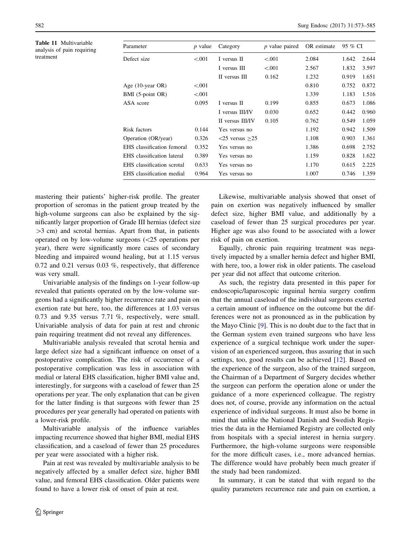<span id="page-9-0"></span>Table 11 Multivariable analysis of pain requiring treatment

| Parameter                  | $p$ value | Category                              | $p$ value paired | OR estimate | 95 % CI |       |
|----------------------------|-----------|---------------------------------------|------------------|-------------|---------|-------|
| Defect size                | < 0.001   | I versus II                           | < 0.001          | 2.084       | 1.642   | 2.644 |
|                            |           | I versus III                          | < 0.001          | 2.567       | 1.832   | 3.597 |
|                            |           | II versus III                         | 0.162            | 1.232       | 0.919   | 1.651 |
| Age (10-year OR)           | ${<}001$  |                                       |                  | 0.810       | 0.752   | 0.872 |
| BMI (5-point OR)           | ${<}001$  |                                       |                  | 1.339       | 1.183   | 1.516 |
| ASA score                  | 0.095     | I versus II                           | 0.199            | 0.855       | 0.673   | 1.086 |
|                            |           | I versus III/IV                       | 0.030            | 0.652       | 0.442   | 0.960 |
|                            |           | II versus III/IV                      | 0.105            | 0.762       | 0.549   | 1.059 |
| Risk factors               | 0.144     | Yes versus no                         |                  | 1.192       | 0.942   | 1.509 |
| Operation (OR/year)        | 0.326     | $\langle 25 \rangle$ versus $\geq 25$ |                  | 1.108       | 0.903   | 1.361 |
| EHS classification femoral | 0.352     | Yes versus no                         |                  | 1.386       | 0.698   | 2.752 |
| EHS classification lateral | 0.389     | Yes versus no                         |                  | 1.159       | 0.828   | 1.622 |
| EHS classification scrotal | 0.633     | Yes versus no                         |                  | 1.170       | 0.615   | 2.225 |
| EHS classification medial  | 0.964     | Yes versus no                         |                  | 1.007       | 0.746   | 1.359 |
|                            |           |                                       |                  |             |         |       |

mastering their patients' higher-risk profile. The greater proportion of seromas in the patient group treated by the high-volume surgeons can also be explained by the significantly larger proportion of Grade III hernias (defect size  $>3$  cm) and scrotal hernias. Apart from that, in patients operated on by low-volume surgeons  $\langle$   $\langle$  25 operations per year), there were significantly more cases of secondary bleeding and impaired wound healing, but at 1.15 versus 0.72 and 0.21 versus 0.03 %, respectively, that difference was very small.

Univariable analysis of the findings on 1-year follow-up revealed that patients operated on by the low-volume surgeons had a significantly higher recurrence rate and pain on exertion rate but here, too, the differences at 1.03 versus 0.73 and 9.35 versus 7.71 %, respectively, were small. Univariable analysis of data for pain at rest and chronic pain requiring treatment did not reveal any differences.

Multivariable analysis revealed that scrotal hernia and large defect size had a significant influence on onset of a postoperative complication. The risk of occurrence of a postoperative complication was less in association with medial or lateral EHS classification, higher BMI value and, interestingly, for surgeons with a caseload of fewer than 25 operations per year. The only explanation that can be given for the latter finding is that surgeons with fewer than 25 procedures per year generally had operated on patients with a lower-risk profile.

Multivariable analysis of the influence variables impacting recurrence showed that higher BMI, medial EHS classification, and a caseload of fewer than 25 procedures per year were associated with a higher risk.

Pain at rest was revealed by multivariable analysis to be negatively affected by a smaller defect size, higher BMI value, and femoral EHS classification. Older patients were found to have a lower risk of onset of pain at rest.

Likewise, multivariable analysis showed that onset of pain on exertion was negatively influenced by smaller defect size, higher BMI value, and additionally by a caseload of fewer than 25 surgical procedures per year. Higher age was also found to be associated with a lower risk of pain on exertion.

Equally, chronic pain requiring treatment was negatively impacted by a smaller hernia defect and higher BMI, with here, too, a lower risk in older patients. The caseload per year did not affect that outcome criterion.

As such, the registry data presented in this paper for endoscopic/laparoscopic inguinal hernia surgery confirm that the annual caseload of the individual surgeons exerted a certain amount of influence on the outcome but the differences were not as pronounced as in the publication by the Mayo Clinic [\[9](#page-11-0)]. This is no doubt due to the fact that in the German system even trained surgeons who have less experience of a surgical technique work under the supervision of an experienced surgeon, thus assuring that in such settings, too, good results can be achieved [\[12](#page-12-0)]. Based on the experience of the surgeon, also of the trained surgeon, the Chairman of a Department of Surgery decides whether the surgeon can perform the operation alone or under the guidance of a more experienced colleague. The registry does not, of course, provide any information on the actual experience of individual surgeons. It must also be borne in mind that unlike the National Danish and Swedish Registries the data in the Herniamed Registry are collected only from hospitals with a special interest in hernia surgery. Furthermore, the high-volume surgeons were responsible for the more difficult cases, i.e., more advanced hernias. The difference would have probably been much greater if the study had been randomized.

In summary, it can be stated that with regard to the quality parameters recurrence rate and pain on exertion, a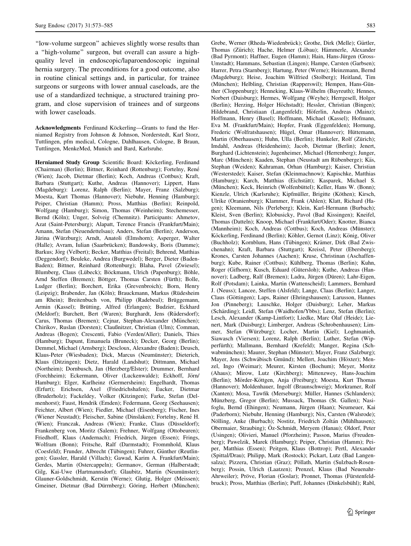''low-volume surgeon'' achieves slightly worse results than a ''high-volume'' surgeon, but overall can assure a highquality level in endoscopic/laparoendoscopic inguinal hernia surgery. The preconditions for a good outcome, also in routine clinical settings and, in particular, for trainee surgeons or surgeons with lower annual caseloads, are the use of a standardized technique, a structured training program, and close supervision of trainees and of surgeons with lower caseloads.

Acknowledgments Ferdinand Köckerling-Grants to fund the Herniamed Registry from Johnson & Johnson, Norderstedt, Karl Storz, Tuttlingen, pfm medical, Cologne, Dahlhausen, Cologne, B Braun, Tuttlingen, MenkeMed, Munich and Bard, Karlsruhe.

Herniamed Study Group Scientific Board: Köckerling, Ferdinand (Chairman) (Berlin); Bittner, Reinhard (Rottenburg); Fortelny, René (Wien); Jacob, Dietmar (Berlin); Koch, Andreas (Cottbus); Kraft, Barbara (Stuttgart); Kuthe, Andreas (Hannover); Lippert, Hans (Magdeburg): Lorenz, Ralph (Berlin); Mayer, Franz (Salzburg); Moesta, Kurt Thomas (Hannover); Niebuhr, Henning (Hamburg); Peiper, Christian (Hamm); Pross, Matthias (Berlin); Reinpold, Wolfgang (Hamburg); Simon, Thomas (Weinheim); Stechemesser, Bernd (Köln); Unger, Solveig (Chemnitz). Participants: Ahmetov, Azat (Saint-Petersburg); Alapatt, Terence Francis (Frankfurt/Main); Amann, Stefan (Neuendettelsau); Anders, Stefan (Berlin); Anderson, Jürina (Würzburg); Arndt, Anatoli (Elmshorn); Asperger, Walter (Halle); Avram, Iulian (Saarbrücken); Bandowsky, Boris (Damme); Barkus; Jörg (Velbert); Becker, Matthias (Freital); Behrend, Matthias (Deggendorf); Beuleke, Andrea (Burgwedel); Berger, Dieter (Baden-Baden); Bittner, Reinhard (Rottenburg); Blaha, Pavel (Zwiesel); Blumberg, Claus (Lübeck); Böckmann, Ulrich (Papenburg); Böhle, Arnd Steffen (Bremen); Böttger, Thomas Carsten (Fürth); Bolle, Ludger (Berlin); Borchert, Erika (Grevenbroich); Born, Henry (Leipzig); Brabender, Jan (Köln); Brauckmann, Markus (Rüdesheim am Rhein); Breitenbuch von, Philipp (Radebeul); Brüggemann, Armin (Kassel); Brütting, Alfred (Erlangen); Budzier, Eckhard (Meldorf); Burchett, Bert (Waren); Burghardt, Jens (Rüdersdorf); Carus, Thomas (Bremen); Cejnar, Stephan-Alexander (München); Chirikov, Ruslan (Dorsten); Claußnitzer, Christian (Ulm); Comman, Andreas (Bogen); Crescenti, Fabio (Verden/Aller); Daniels, Thies (Hamburg); Dapunt, Emanuela (Bruneck); Decker, Georg (Berlin); Demmel, Michael (Arnsberg); Descloux, Alexandre (Baden); Deusch, Klaus-Peter (Wiesbaden); Dick, Marcus (Neumünster); Dieterich, Klaus (Ditzingen); Dietz, Harald (Landshut); Dittmann, Michael (Northeim); Dornbusch, Jan (Herzberg/Elster); Drummer, Bernhard (Forchheim); Eckermann, Oliver (Luckenwalde); Eckhoff, Jörn/ Hamburg); Elger, Karlheinz (Germersheim); Engelhardt, Thomas (Erfurt); Erichsen, Axel (Friedrichshafen); Eucker, Dietmar (Bruderholz); Fackeldey, Volker (Kitzingen); Farke, Stefan (Delmenhorst); Faust, Hendrik (Emden); Federmann, Georg (Seehausen); Feichter, Albert (Wien); Fiedler, Michael (Eisenberg); Fischer, Ines (Wiener Neustadt); Fleischer, Sabine (Dinslaken); Fortelny, René H. (Wien); Franczak, Andreas (Wien); Franke, Claus (Düsseldorf); Frankenberg von, Moritz (Salem); Frehner, Wolfgang (Ottobeuren); Friedhoff, Klaus (Andernach); Friedrich, Jürgen (Essen); Frings, Wolfram (Bonn); Fritsche, Ralf (Darmstadt); Frommhold, Klaus (Coesfeld); Frunder, Albrecht (Tübingen); Fuhrer, Günther (Reutlingen); Gassler, Harald (Villach); Gawad, Karim A. Frankfurt/Main); Gerdes, Martin (Ostercappeln); Germanov, German (Halberstadt; Gilg, Kai-Uwe (Hartmannsdorf); Glaubitz, Martin (Neumünster); Glauner-Goldschmidt, Kerstin (Werne); Glutig, Holger (Meissen); Gmeiner, Dietmar (Bad Dürrnberg); Göring, Herbert (München);

Grebe, Werner (Rheda-Wiedenbrück); Grothe, Dirk (Melle); Gürtler, Thomas (Zürich); Hache, Helmer (Löbau); Hämmerle, Alexander (Bad Pyrmont); Haffner, Eugen (Hamm); Hain, Hans-Jürgen (Gross-Umstadt); Hammans, Sebastian (Lingen); Hampe, Carsten (Garbsen); Harrer, Petra (Starnberg); Hartung, Peter (Werne); Heinzmann, Bernd (Magdeburg); Heise, Joachim Wilfried (Stolberg); Heitland, Tim (München); Helbling, Christian (Rapperswil); Hempen, Hans-Günther (Cloppenburg); Henneking, Klaus-Wilhelm (Bayreuth); Hennes, Norbert (Duisburg); Hermes, Wolfgang (Weyhe); Herrgesell, Holger (Berlin); Herzing, Holger Höchstadt); Hessler, Christian (Bingen); Hildebrand, Christiaan (Langenfeld); Höferlin, Andreas (Mainz); Hoffmann, Henry (Basel); Hoffmann, Michael (Kassel); Hofmann, Eva M. (Frankfurt/Main); Hopfer, Frank (Eggenfelden); Hornung, Frederic (Wolfratshausen); Hügel, Omar (Hannover); Hüttemann, Martin (Oberhausen); Huhn, Ulla (Berlin); Hunkeler, Rolf (Zürich); Imdahl, Andreas (Heidenheim); Jacob, Dietmar (Berlin); Jenert, Burghard (Lichtenstein); Jugenheimer, Michael (Herrenberg); Junger, Marc (München); Kaaden, Stephan (Neustadt am Rübenberge); Käs, Stephan (Weiden); Kahraman, Orhan (Hamburg); Kaiser, Christian (Westerstede); Kaiser, Stefan (Kleinmachnow); Kapischke, Matthias (Hamburg); Karch, Matthias (Eichstätt); Kasparek, Michael S. (München); Keck, Heinrich (Wolfenbüttel); Keller, Hans W. (Bonn); Kienzle, Ulrich (Karlsruhe); Kipfmüller, Brigitte (Köthen); Kirsch, Ulrike (Oranienburg); Klammer, Frank (Ahlen); Klatt, Richard (Hagen); Kleemann, Nils (Perleberg); Klein, Karl-Hermann (Burbach); Kleist, Sven (Berlin); Klobusicky, Pavol (Bad Kissingen); Kneifel, Thomas (Datteln); Knoop, Michael (Frankfurt/Oder); Knotter, Bianca (Mannheim); Koch, Andreas (Cottbus); Koch, Andreas (Münster); Köckerling, Ferdinand (Berlin); Köhler, Gernot (Linz); König, Oliver (Buchholz); Kornblum, Hans (Tübingen); Krämer, Dirk (Bad Zwischenahn); Kraft, Barbara (Stuttgart); Kreissl, Peter (Ebersberg); Krones, Carsten Johannes (Aachen); Kruse, Christinan (Aschaffenburg); Kube, Rainer (Cottbus); Kühlberg, Thomas (Berlin); Kuhn, Roger (Gifhorn); Kusch, Eduard (Gütersloh); Kuthe, Andreas (Hannover); Ladberg, Ralf (Bremen); Ladra, Jürgen (Düren); Lahr-Eigen, Rolf (Potsdam); Lainka, Martin (Wattenscheid); Lammers, Bernhard J. (Neuss); Lancee, Steffen (Alsfeld); Lange, Claas (Berlin); Langer, Claus (Göttingen); Laps, Rainer (Ehringshausen); Larusson, Hannes Jon (Pinneberg); Lauschke, Holger (Duisburg); Leher, Markus (Schärding); Leidl, Stefan (Waidhofen/Ybbs); Lenz, Stefan (Berlin); Lesch, Alexander (Kamp-Lintfort); Liedke, Marc Olaf (Heide); Lienert, Mark (Duisburg); Limberger, Andreas (Schrobenhausen); Limmer, Stefan (Wu¨rzburg); Locher, Martin (Kiel); Loghmanieh, Siawasch (Viersen); Lorenz, Ralph (Berlin); Luther, Stefan (Wipperfürth); Mallmann, Bernhard (Krefeld); Manger, Regina (Schwabmünchen); Maurer, Stephan (Münster); Mayer, Franz (Salzburg); Mayer, Jens (Schwäbisch Gmünd); Mellert, Joachim (Höxter); Menzel, Ingo (Weimar); Meurer, Kirsten (Bochum); Meyer, Moritz (Ahaus); Mirow, Lutz (Kirchberg); Mittenzwey, Hans-Joachim (Berlin); Mörder-Köttgen, Anja (Freiburg); Moesta, Kurt Thomas (Hannover); Moldenhauer, Ingolf (Braunschweig); Morkramer, Rolf (Xanten); Mosa, Tawfik (Merseburg); Müller, Hannes (Schlanders); Münzberg, Gregor (Berlin); Mussack, Thomas (St. Gallen); Nasifoglu, Bernd (Ehingen); Neumann, Jürgen (Haan); Neumeuer, Kai (Paderborn); Niebuhr, Henning (Hamburg); Nix, Carsten (Walsrode); Nölling, Anke (Burbach); Nostitz, Friedrich Zoltán (Mühlhausen); Obermaier, Straubing); Öz-Schmidt, Meryem (Hanau); Oldorf, Peter (Usingen); Olivieri, Manuel (Pforzheim); Passon, Marius (Freudenberg); Pawelzik, Marek (Hamburg); Peiper, Christian (Hamm); Peiper, Matthias (Essen); Peitgen, Klaus (Bottrop); Pertl, Alexander (Spittal/Drau); Philipp, Mark (Rostock); Pickart, Lutz (Bad Langensalza); Pizzera, Christian (Graz); Pöllath, Martin (Sulzbach-Rosenberg); Possin, Ulrich (Laatzen); Prenzel, Klaus (Bad Neuenahr-Ahrweiler); Pröve, Florian (Goslar); Pronnet, Thomas (Fürstenfeldbruck); Pross, Matthias (Berlin); Puff, Johannes (Dinkelsbühl); Rabl,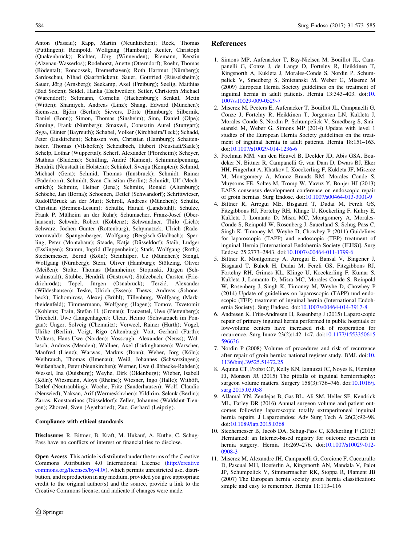<span id="page-11-0"></span>Anton (Passau); Rapp, Martin (Neunkirchen); Reck, Thomas (Püttlingen); Reinpold, Wolfgang (Hamburg); Reuter, Christoph (Quakenbrück); Richter, Jörg (Winnenden); Riemann, Kerstin (Alzenau-Wasserlos); Rodehorst, Anette (Otterndorf); Roehr, Thomas (Rödental); Roncossek, Bremerhaven); Roth Hartmut (Nürnberg); Sardoschau, Nihad (Saarbrücken); Sauer, Gottfried (Rüsselsheim); Sauer, Jörg (Arnsberg); Seekamp, Axel (Freiburg); Seelig, Matthias (Bad Soden); Seidel, Hanka (Eschweiler); Seiler, Christoph Michael (Warendorf); Seltmann, Cornelia (Hachenburg); Senkal, Metin (Witten); Shamiyeh, Andreas (Linz); Shang, Edward (München); Siemssen, Björn (Berlin); Sievers, Dörte (Hamburg); Silbernik, Daniel (Bonn); Simon, Thomas (Sinsheim); Sinn, Daniel (Olpe); Sinning, Frank (Nürnberg); Smaxwil, Constatin Aurel (Stuttgart); Syga, Günter (Bayreuth); Schabel, Volker (Kirchheim/Teck); Schadd, Peter (Euskirchen); Schassen von, Christian (Hamburg); Schattenhofer, Thomas (Vilshofen); Scheidbach, Hubert (Neustadt/Saale); Schelp, Lothar (Wuppertal); Scherf, Alexander (Pforzheim); Scheyer, Mathias (Bludenz); Schilling, André (Kamen); Schimmelpenning, Hendrik (Neustadt in Holstein); Schinkel, Svenja (Kempten); Schmid, Michael (Gera); Schmid, Thomas (Innsbruck); Schmidt, Rainer (Paderborn); Schmidt, Sven-Christian (Berlin); Schmidt, Ulf (Mechernich); Schmitz, Heiner (Jena); Schmitz, Ronald (Altenburg); Schöche, Jan (Borna); Schoenen, Detlef (Schwandorf); Schrittwieser, Rudolf/Bruck an der Mur); Schroll, Andreas (München); Schultz, Christian (Bremen-Lesum); Schultz, Harald (Landstuhl); Schulze, Frank P. Mülheim an der Ruhr); Schumacher, Franz-Josef (Oberhausen); Schwab, Robert (Koblenz); Schwandner, Thilo (Lich); Schwarz, Jochen Günter (Rottenburg); Schymatzek, Ulrich (Radevormwald); Spangenberger, Wolfgang (Bergisch-Gladbach); Sperling, Peter (Montabaur); Staade, Katja (Düsseldorf); Staib, Ludger (Esslingen); Stamm, Ingrid (Heppenheim); Stark, Wolfgang (Roth); Stechemesser, Bernd (Köln); Steinhilper, Uz (München); Stengl, Wolfgang (Nürnberg); Stern, Oliver (Hamburg); Stöltzing, Oliver (Meißen); Stolte, Thomas (Mannheim); Stopinski, Jürgen (Schwalmstadt); Stubbe, Hendrik (Güstrow/); Stülzebach, Carsten (Friedrichroda); Tepel, Jürgen (Osnabrück); Terzić, Alexander (Wildeshausen); Teske, Ulrich (Essen); Thews, Andreas (Schönebeck); Tichomirow, Alexej (Brühl); Tillenburg, Wolfgang (Marktheidenfeld); Timmermann, Wolfgang (Hagen); Tomov, Tsvetomir (Koblenz; Train, Stefan H. (Gronau); Trauzettel, Uwe (Plettenberg); Triechelt, Uwe (Langenhagen); Ulcar, Heimo (Schwarzach im Pongau); Unger, Solveig (Chemnitz); Verweel, Rainer (Hürth); Vogel, Ulrike (Berlin); Voigt, Rigo (Altenburg); Voit, Gerhard (Fürth); Volkers, Hans-Uwe (Norden); Vossough, Alexander (Neuss); Wallasch, Andreas (Menden); Wallner, Axel (Lüdinghausen); Warscher, Manfred (Lienz); Warwas, Markus (Bonn); Weber, Jörg (Köln); Weihrauch, Thomas (Ilmenau); Weiß, Johannes (Schwetzingen); Weißenbach, Peter (Neunkirchen); Werner, Uwe (Lübbecke-Rahden); Wessel, Ina (Duisburg); Weyhe, Dirk (Oldenburg); Wieber, Isabell (Köln); Wiesmann, Aloys (Rheine); Wiesner, Ingo (Halle); Withöft, Detlef (Neutraubling); Woehe, Fritz (Sanderhausen); Wolf, Claudio (Neuwied); Yaksan, Arif (Wermeskirchen); Yildirim, Selcuk (Berlin); Zarras, Konstantinos (Düsseldorf); Zeller, Johannes (Waldshut-Tiengen); Zhorzel, Sven (Agatharied); Zuz, Gerhard (Leipzig).

#### Compliance with ethical standards

Disclosures R. Bittner, B. Kraft, M. Hukauf, A. Kuthe, C. Schug-Pass have no conflicts of interest or financial ties to disclose.

Open Access This article is distributed under the terms of the Creative Commons Attribution 4.0 International License ([http://creative](http://creativecommons.org/licenses/by/4.0/) [commons.org/licenses/by/4.0/\)](http://creativecommons.org/licenses/by/4.0/), which permits unrestricted use, distribution, and reproduction in any medium, provided you give appropriate credit to the original author(s) and the source, provide a link to the Creative Commons license, and indicate if changes were made.

## References

- 1. Simons MP, Aufenacker T, Bay-Nielsen M, Bouillot JL, Campanelli G, Conze J, de Lange D, Fortelny R, Heikkinen T, Kingsnorth A, Kukleta J, Morales-Conde S, Nordin P, Schumpelick V, Smedberg S, Smietanski M, Weber G, Miserez M (2009) European Hernia Society guidelines on the treatment of inguinal hernia in adult patients. Hernia 13:343–403. doi:[10.](http://dx.doi.org/10.1007/s10029-009-0529-7) [1007/s10029-009-0529-7](http://dx.doi.org/10.1007/s10029-009-0529-7)
- 2. Miserez M, Peeters E, Aufenacker T, Bouillot JL, Campanelli G, Conze J, Fortelny R, Heikkinen T, Jorgensen LN, Kukleta J, Morales-Conde S, Nordin P, Schumpelick V, Smedberg S, Smietanski M, Weber G, Simons MP (2014) Update with level 1 studies of the European Hernia Society guidelines on the treatment of inguinal hernia in adult patients. Hernia 18:151–163. doi:[10.1007/s10029-014-1236-6](http://dx.doi.org/10.1007/s10029-014-1236-6)
- 3. Poelman MM, van den Heuvel B, Deelder JD, Abis GSA, Beudeker N, Bittner R, Campanelli G, van Dam D, Dwars BJ, Eker HH, Fingerhut A, Khatkov I, Koeckerling F, Kukleta JF, Miserez M, Montgomery A, Munoz Brands RM, Morales Conde S, Muysoms FE, Soltes M, Tromp W, Yavuz Y, Bonjer HJ (2013) EAES consensus development conference on endoscopic repair of groin hernias. Surg Endosc. doi:[10.1007/s00464-013-3001-9](http://dx.doi.org/10.1007/s00464-013-3001-9)
- 4. Bittner R, Arregui ME, Bisgaard T, Dudai M, Ferzli GS, Fitzgibbons RJ, Fortelny RH, Klinge U, Köckerling F, Kuhry E, Kukleta J, Lomanto D, Misra MC, Montgomery A, Morales-Conde S, Reinpold W, Rosenberg J, Sauerland S, Schug-Pass C, Singh K, Timoney M, Weyhe D, Chowbey P (2011) Guidelines for laparoscopic (TAPP) and endoscopic (TEP) treatment of inguinal Hernia [International Endohernia Society (IEHS)]. Surg Endosc 25:2773–2843. doi:[10.1007/s00464-011-1799-6](http://dx.doi.org/10.1007/s00464-011-1799-6)
- 5. Bittner R, Montgomery A, Arregui E, Bansal V, Bingener J, Bisgaard T, Buhck H, Dudai M, Ferzli GS, Fitzgibbons RJ, Fortelny RH, Grimes KL, Klinge U, Koeckerling F, Kumar S, Kukleta J, Lomanto D, Misra MC, Morales-Conde S, Reinpold W, Rosenberg J, Singh K, Timoney M, Weyhe D, Chowbey P (2014) Update of guidelines on laparoscopic (TAPP) und endoscopic (TEP) treatment of inguinal hernia (International Endohernia Society). Surg Endosc. doi:[10.1007/s00464-014-3917-8](http://dx.doi.org/10.1007/s00464-014-3917-8)
- 6. Andresen K, Friis-Andresen H, Rosenberg J (2015) Laparoscopic repair of primary inguinal hernia performed in public hospitals or low-volume centers have increased risk of reoperation for recurrence. Surg Innov 23(2):142–147. doi:[10.1177/1553350615](http://dx.doi.org/10.1177/1553350615596636) [596636](http://dx.doi.org/10.1177/1553350615596636)
- 7. Nordin P (2008) Volume of procedures and risk of recurrence after repair of groin hernia: national register study. BMJ. doi:[10.](http://dx.doi.org/10.1136/bmj.39525.51472.25) [1136/bmj.39525.51472.25](http://dx.doi.org/10.1136/bmj.39525.51472.25)
- 8. Aquina CT, Probst CP, Kelly KN, Iannuzzi JC, Noyes K, Fleming FJ, Monson JR (2015) The pitfalls of inguinal herniorrhaphy: surgeon volume matters. Surgery 158(3):736–746. doi:[10.1016/j.](http://dx.doi.org/10.1016/j.surg.2015.03.058) surg. 2015.03.058
- 9. AlJamal YN, Zendejas B, Gas BL, Ali SM, Heller SF, Kendrick ML, Farley DR (2016) Annual surgeon volume and patient outcomes following laparoscopic totally extraperitoneal inguinal hernia repairs. J Laparoendosc Adv Surg Tech A 26(2):92–98. doi:[10.1089/lap.2015.0368](http://dx.doi.org/10.1089/lap.2015.0368)
- 10. Stechemesser B, Jacob DA, Schug-Pass C, Köckerling F (2012) Herniamed: an Internet-based registry for outcome research in hernia surgery. Hernia 16:269–276. doi:[10.1007/s10029-012-](http://dx.doi.org/10.1007/s10029-012-0908-3) [0908-3](http://dx.doi.org/10.1007/s10029-012-0908-3)
- 11. Miserez M, Alexandre JH, Campanelli G, Corcione F, Cuccurullo D, Pascual MH, Hoeferlin A, Kingsnorth AN, Mandala V, Palot JP, Schumpelick V, Simmermacher RK, Stoppa R, Flament JB (2007) The European hernia society groin hernia classification: simple and easy to remember. Hernia 11:113–116